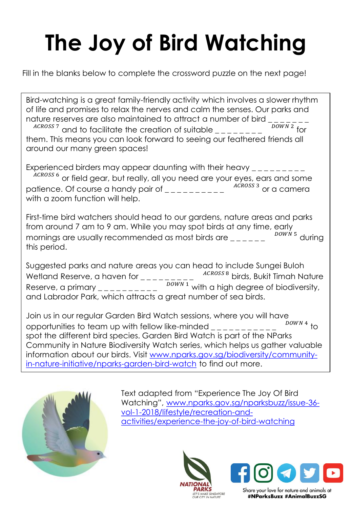## **The Joy of Bird Watching**

Fill in the blanks below to complete the crossword puzzle on the next page!

Bird-watching is a great family-friendly activity which involves a slower rhythm of life and promises to relax the nerves and calm the senses. Our parks and nature reserves are also maintained to attract a number of bird  $_{--}$  $\frac{ACROSS}{T}$  and to facilitate the creation of suitable \_\_\_\_\_\_\_\_  $\frac{DOWN}{T}$  $\overline{D}$  *DOWN* 2  $\overline{f}$  for them. This means you can look forward to seeing our feathered friends all around our many green spaces!

Experienced birders may appear daunting with their heavy  $\frac{1}{2}$ <sup>ACROSS 6</sup> or field gear, but really, all you need are your eyes, ears and some patience. Of course a handy pair of  $\frac{1}{2}$   $\frac{1}{2}$   $\frac{1}{2}$   $\frac{1}{2}$   $\frac{1}{2}$   $\frac{1}{2}$   $\frac{1}{2}$   $\frac{1}{2}$  or a camera with a zoom function will help.

First-time bird watchers should head to our gardens, nature areas and parks from around 7 am to 9 am. While you may spot birds at any time, early mornings are usually recommended as most birds are  $\mu_{\text{max}}$  $\frac{DOWN}{DOWN}$ <sup>5</sup> during this period.

Suggested parks and nature areas you can head to include Sungei Buloh Wetland Reserve, a haven for  $\frac{1}{2}$   $\frac{1}{2}$   $\frac{1}{2}$   $\frac{1}{2}$   $\frac{1}{2}$   $\frac{1}{2}$   $\frac{1}{2}$   $\frac{1}{2}$   $\frac{1}{2}$   $\frac{1}{2}$   $\frac{1}{2}$   $\frac{1}{2}$   $\frac{1}{2}$   $\frac{1}{2}$   $\frac{1}{2}$   $\frac{1}{2}$   $\frac{1}{2}$   $\frac{1}{2}$   $\frac{1}{2}$   $\$ ACROSS 8 birds, Bukit Timah Nature Reserve, a primary  $\frac{1}{2}$   $\frac{1}{2}$   $\frac{1}{2}$   $\frac{1}{2}$   $\frac{1}{2}$  with a high degree of biodiversity, and Labrador Park, which attracts a great number of sea birds.

Join us in our regular Garden Bird Watch sessions, where you will have opportunities to team up with fellow like-minded  $\frac{1}{2}$  $\sum_{DOWN}$  4 to spot the different bird species. Garden Bird Watch is part of the NParks Community in Nature Biodiversity Watch series, which helps us gather valuable [information about our birds. Visit www.nparks.gov.sg/biodiversity/community](http://www.nparks.gov.sg/biodiversity/community-in-nature-initiative/nparks-garden-bird-watch)in-nature-initiative/nparks-garden-bird-watch to find out more.



Text adapted from "Experience The Joy Of Bird Watching", www.nparks.gov.sg/nparksbuzz/issue-36 vol-1-2018/lifestyle/recreation-and[activities/experience-the-joy-of-bird-watching](http://www.nparks.gov.sg/nparksbuzz/issue-36-vol-1-2018/lifestyle/recreation-and-activities/experience-the-joy-of-bird-watching)





Share your love for nature and animals at #NParksBuzz #AnimalBuzzSG